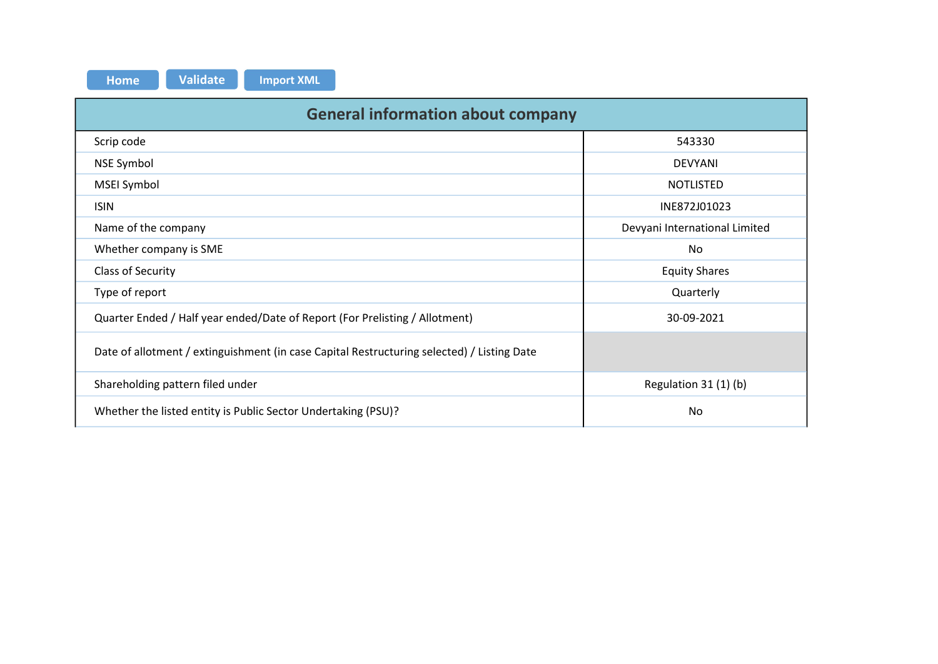| Home |  |
|------|--|
|      |  |
|      |  |

| <b>Validate</b><br><b>Import XML</b><br><b>Home</b>                                        |                               |
|--------------------------------------------------------------------------------------------|-------------------------------|
| <b>General information about company</b>                                                   |                               |
| Scrip code                                                                                 | 543330                        |
| <b>NSE Symbol</b>                                                                          | <b>DEVYANI</b>                |
| MSEI Symbol                                                                                | NOTLISTED                     |
| <b>ISIN</b>                                                                                | INE872J01023                  |
|                                                                                            |                               |
| Name of the company                                                                        | Devyani International Limited |
| Whether company is SME                                                                     | No                            |
| Class of Security                                                                          | <b>Equity Shares</b>          |
| Type of report                                                                             | Quarterly                     |
| Quarter Ended / Half year ended/Date of Report (For Prelisting / Allotment)                | 30-09-2021                    |
| Date of allotment / extinguishment (in case Capital Restructuring selected) / Listing Date |                               |
| Shareholding pattern filed under                                                           | Regulation 31 (1) (b)         |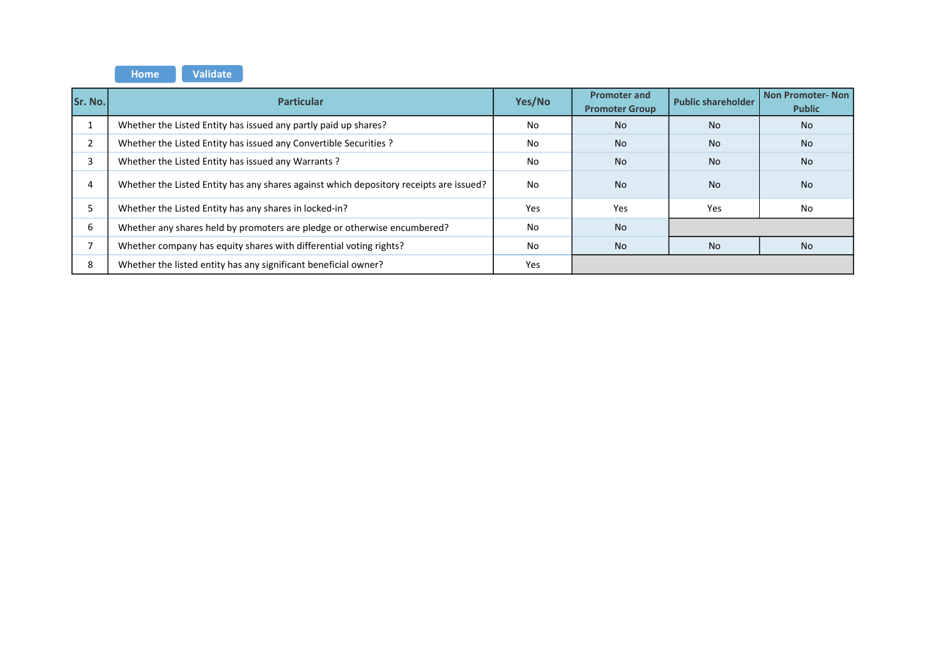Home **Validate** 

| Sr. No.                  | <b>Particular</b>                                                                      | Yes/No | <b>Promoter and</b><br><b>Promoter Group</b> | <b>Public shareholder</b> | <b>Non Promoter-Non</b><br><b>Public</b> |
|--------------------------|----------------------------------------------------------------------------------------|--------|----------------------------------------------|---------------------------|------------------------------------------|
|                          | Whether the Listed Entity has issued any partly paid up shares?                        | No     | <b>No</b>                                    | <b>No</b>                 | <b>No</b>                                |
| h<br>∠                   | Whether the Listed Entity has issued any Convertible Securities ?                      | No     | <b>No</b>                                    | <b>No</b>                 | <b>No</b>                                |
| 3                        | Whether the Listed Entity has issued any Warrants?                                     | No     | <b>No</b>                                    | <b>No</b>                 | <b>No</b>                                |
| 4                        | Whether the Listed Entity has any shares against which depository receipts are issued? | No     | <b>No</b>                                    | <b>No</b>                 | <b>No</b>                                |
|                          | Whether the Listed Entity has any shares in locked-in?                                 | Yes    | Yes                                          | Yes                       | No                                       |
| 6                        | Whether any shares held by promoters are pledge or otherwise encumbered?               | No     | <b>No</b>                                    |                           |                                          |
| $\overline{\phantom{0}}$ | Whether company has equity shares with differential voting rights?                     | No     | <b>No</b>                                    | <b>No</b>                 | No.                                      |
| 8                        | Whether the listed entity has any significant beneficial owner?                        | Yes    |                                              |                           |                                          |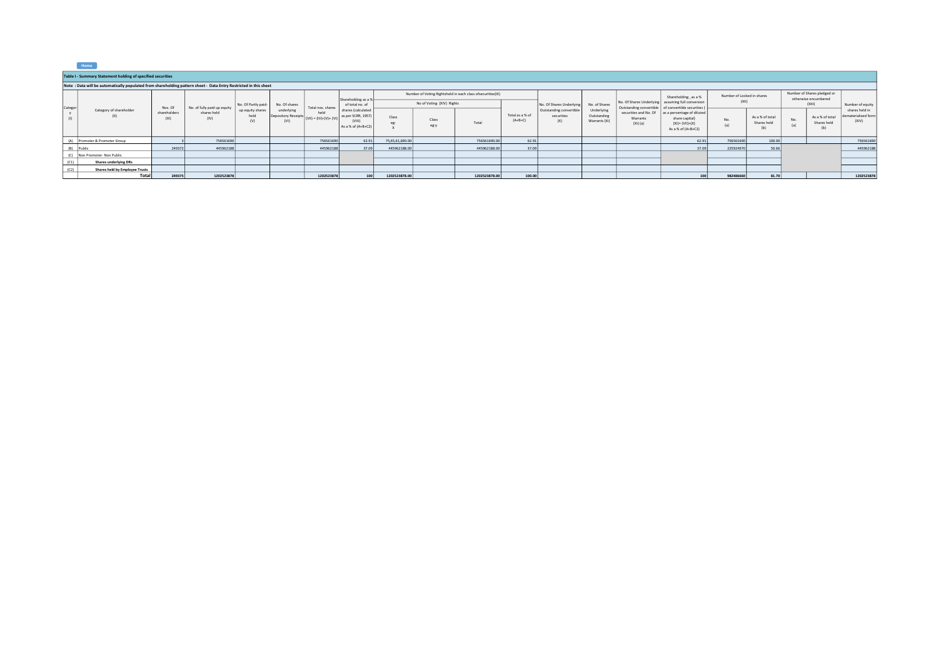| .,<br>nme |  |
|-----------|--|

|         | Table I - Summary Statement holding of specified securities                                                      |                       |                             |                                 |                                                                                  |                   |                                                                          |                 |                           |                                                            |                              |                                              |                                            |                                                     |                                                                                                                |                            |                                       |            |                                                     |                                                |
|---------|------------------------------------------------------------------------------------------------------------------|-----------------------|-----------------------------|---------------------------------|----------------------------------------------------------------------------------|-------------------|--------------------------------------------------------------------------|-----------------|---------------------------|------------------------------------------------------------|------------------------------|----------------------------------------------|--------------------------------------------|-----------------------------------------------------|----------------------------------------------------------------------------------------------------------------|----------------------------|---------------------------------------|------------|-----------------------------------------------------|------------------------------------------------|
|         | Note: Data will be automatically populated from shareholding pattern sheet - Data Entry Restricted in this sheet |                       |                             |                                 |                                                                                  |                   |                                                                          |                 |                           |                                                            |                              |                                              |                                            |                                                     |                                                                                                                |                            |                                       |            |                                                     |                                                |
|         |                                                                                                                  |                       |                             |                                 |                                                                                  |                   |                                                                          |                 |                           | Number of Voting Rightsheld in each class ofsecurities(IX) |                              |                                              |                                            |                                                     | Shareholding, as a %                                                                                           | Number of Locked in shares |                                       |            | Number of Shares pledged or<br>otherwise encumbered |                                                |
| Categor |                                                                                                                  | Nos. Of               | No. of fully paid up equity | No. Of Partly paid-             | No. Of shares                                                                    | Total nos, shares | Shareholding as a %<br>of total no, of                                   |                 | No of Voting (XIV) Rights |                                                            |                              | No. Of Shares Underlying                     | No. of Shares                              | Outstanding convertible of convertible securities ( | No. Of Shares Underlying assuming full conversion                                                              | (XII)                      |                                       |            | (XIII)                                              | Number of equity                               |
|         | Category of shareholder<br>(II)                                                                                  | shareholders<br>(III) | shares held<br>(IV)         | up equity shares<br>held<br>(V) | underlying<br>Depository Receipts $ (VII)  = (IV)+(V)+(VI) ^{-\alpha_2}$<br>(VI) | held              | shares (calculated<br>as per SCRR, 1957)<br>(VIII)<br>As a % of (A+B+C2) | Class<br>eg:    | Class<br>eg:y             | Total                                                      | Total as a % of<br>$(A+B+C)$ | Outstanding convertible<br>securities<br>(X) | Underlying<br>Outstanding<br>Warrants (Xi) | Warrants<br>$(Xi)$ (a)                              | securities and No. Of as a percentage of diluted<br>share capital)<br>$(XI) = (VII)+(X)$<br>As a % of (A+B+C2) | No.<br>(a)                 | As a % of total<br>Shares held<br>(b) | No.<br>(a) | As a % of total<br>Shares held<br>(b)               | shares held in<br>dematerialized forn<br>(XIV) |
|         | (A) Promoter & Promoter Group                                                                                    |                       | 756561690                   |                                 |                                                                                  | 756561690         | 62.91                                                                    | 75,65,61,690.00 |                           | 756561690.00                                               | 62.91                        |                                              |                                            |                                                     | 62.91                                                                                                          | 756561690                  | 100.00                                |            |                                                     | 75656169                                       |
|         | (B) Public                                                                                                       | 249372                | 445962188                   |                                 |                                                                                  | 445962188         | 37.09                                                                    | 445962188.00    |                           | 445962188.00                                               | 37.09                        |                                              |                                            |                                                     | 37.09                                                                                                          | 225924970                  | 50.66                                 |            |                                                     | 445962188                                      |
|         | (C) Non Promoter- Non Public                                                                                     |                       |                             |                                 |                                                                                  |                   |                                                                          |                 |                           |                                                            |                              |                                              |                                            |                                                     |                                                                                                                |                            |                                       |            |                                                     |                                                |
| (C1)    | <b>Shares underlying DRs</b>                                                                                     |                       |                             |                                 |                                                                                  |                   |                                                                          |                 |                           |                                                            |                              |                                              |                                            |                                                     |                                                                                                                |                            |                                       |            |                                                     |                                                |
| (C2)    | Shares held by Employee Trusts                                                                                   |                       |                             |                                 |                                                                                  |                   |                                                                          |                 |                           |                                                            |                              |                                              |                                            |                                                     |                                                                                                                |                            |                                       |            |                                                     |                                                |
|         | Total                                                                                                            | 249375                | 1202523878                  |                                 |                                                                                  | 1202523878        | 100 <sup>1</sup>                                                         | 1202523878.00   |                           | 1202523878.00                                              | 100.00                       |                                              |                                            |                                                     | 100                                                                                                            | 982486660                  | 81.70                                 |            |                                                     | 1202523878                                     |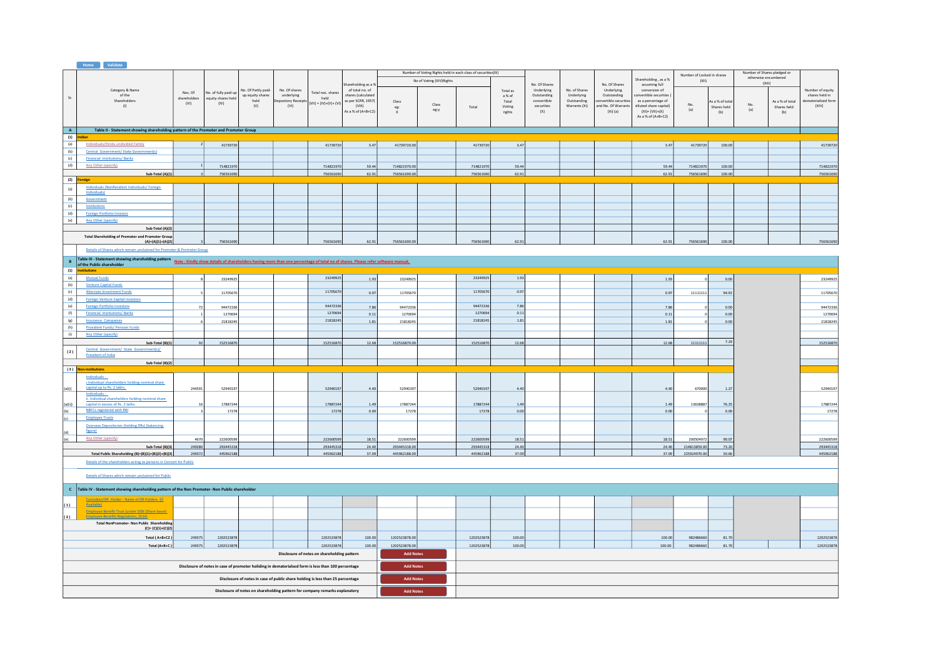|            | <b>Home Validate</b>                                                                                                                                                                                                                   |              |                                                                                                    |                          |                                                                                |                                             |                                          |                                  |                           |                                                              |                 |                            |                           |                                     |                                             |                            |                                |        |                                                     |                                       |
|------------|----------------------------------------------------------------------------------------------------------------------------------------------------------------------------------------------------------------------------------------|--------------|----------------------------------------------------------------------------------------------------|--------------------------|--------------------------------------------------------------------------------|---------------------------------------------|------------------------------------------|----------------------------------|---------------------------|--------------------------------------------------------------|-----------------|----------------------------|---------------------------|-------------------------------------|---------------------------------------------|----------------------------|--------------------------------|--------|-----------------------------------------------------|---------------------------------------|
|            |                                                                                                                                                                                                                                        |              |                                                                                                    |                          |                                                                                |                                             |                                          |                                  |                           | Number of Voting Rights held in each class of securities(IX) |                 |                            |                           |                                     | Shareholding, as a %                        | Number of Locked in shares |                                |        | Number of Shares pledged or<br>otherwise encumbered |                                       |
|            |                                                                                                                                                                                                                                        |              |                                                                                                    |                          |                                                                                |                                             | hareholding as a 5                       |                                  | No of Voting (XIV) Rights |                                                              |                 | No. Of Shares              |                           | No. Of Shares                       | assuming full                               | (XII)                      |                                | (XIII) |                                                     |                                       |
|            | Category & Name                                                                                                                                                                                                                        | Nos. Of      | No. of fully paid up                                                                               | No. Of Partly paid-      | No. Of shares                                                                  | Total nos, shares                           | of total no. of                          |                                  |                           |                                                              | Total as        | Underlying                 | No. of Shares             | Underlying                          | conversion of                               |                            |                                |        |                                                     | Number of equity                      |
| Sr.        | of the<br>Shareholders                                                                                                                                                                                                                 | shareholders | equity shares held                                                                                 | up equity shares<br>held | underlying<br>epository Receipt                                                | held                                        | shares (calculated<br>as per SCRR, 1957) |                                  |                           |                                                              | a % of<br>Total | Outstanding<br>convertible | Underlying<br>Outstanding | Outstanding<br>nvertible securities | onvertible securities<br>as a percentage of |                            |                                |        |                                                     | shares held in<br>dematerialized form |
|            | (1)                                                                                                                                                                                                                                    | (III)        | (IV)                                                                                               | (V)                      | (VI)                                                                           | $(VII) = (IV)+(V)+(VI)$                     | (VIII)                                   | Class<br>$\operatorname{\sf eg}$ | Class                     | Total                                                        | Voting          | securities                 | Warrants (Xi)             | nd No. Of Warrants                  | diluted share capital)                      | No.                        | As a % of total<br>Shares held | No.    | As a % of total<br>Shares held                      | (XIV)                                 |
|            |                                                                                                                                                                                                                                        |              |                                                                                                    |                          |                                                                                |                                             | As a % of (A+B+C2)                       | $\mathbf{x}$                     | eg:y                      |                                                              | rights          | (X)                        |                           | $(Xi)$ (a)                          | $(XI) = (VII)+(X)$                          | (a)                        | (b)                            | (a)    | (b)                                                 |                                       |
|            |                                                                                                                                                                                                                                        |              |                                                                                                    |                          |                                                                                |                                             |                                          |                                  |                           |                                                              |                 |                            |                           |                                     | As a % of (A+B+C2)                          |                            |                                |        |                                                     |                                       |
|            |                                                                                                                                                                                                                                        |              |                                                                                                    |                          |                                                                                |                                             |                                          |                                  |                           |                                                              |                 |                            |                           |                                     |                                             |                            |                                |        |                                                     |                                       |
| A          | Table II - Statement showing shareholding pattern of the Promoter and Promoter Group                                                                                                                                                   |              |                                                                                                    |                          |                                                                                |                                             |                                          |                                  |                           |                                                              |                 |                            |                           |                                     |                                             |                            |                                |        |                                                     |                                       |
| (1)        | Indian                                                                                                                                                                                                                                 |              |                                                                                                    |                          |                                                                                |                                             |                                          |                                  |                           |                                                              |                 |                            |                           |                                     |                                             |                            |                                |        |                                                     |                                       |
| (a)        | Individuals/Hindu undivided Family<br>Central Government/ State Government(s)                                                                                                                                                          |              | 41739720                                                                                           |                          |                                                                                | 41739720                                    | 3.47                                     | 41739720.00                      |                           | 41739720                                                     | 3.47            |                            |                           |                                     | 3.47                                        | 41739720                   | 100.00                         |        |                                                     | 41739720                              |
| (b)        | <b>Financial Institutions/Banks</b>                                                                                                                                                                                                    |              |                                                                                                    |                          |                                                                                |                                             |                                          |                                  |                           |                                                              |                 |                            |                           |                                     |                                             |                            |                                |        |                                                     |                                       |
| (c)<br>(d) | Any Other (specify)                                                                                                                                                                                                                    |              |                                                                                                    |                          |                                                                                |                                             |                                          |                                  |                           |                                                              |                 |                            |                           |                                     |                                             |                            |                                |        |                                                     |                                       |
|            |                                                                                                                                                                                                                                        |              | 71482197                                                                                           |                          |                                                                                | 714821970                                   | 59.44                                    | 714821970.0                      |                           | 714821970                                                    | 59.44           |                            |                           |                                     | 59.44                                       | 714821970                  | 100.00                         |        |                                                     | 714821970                             |
| (2)        | Sub-Total (A)(1)<br>Foreign                                                                                                                                                                                                            |              | 756561690                                                                                          |                          |                                                                                | 756561690                                   | 62.91                                    | 756561690.00                     |                           | 756561690                                                    | 62.91           |                            |                           |                                     | 62.91                                       | 756561690                  | 100.00                         |        |                                                     | 756561690                             |
|            | Individuals (NonResident Individuals/ Foreign                                                                                                                                                                                          |              |                                                                                                    |                          |                                                                                |                                             |                                          |                                  |                           |                                                              |                 |                            |                           |                                     |                                             |                            |                                |        |                                                     |                                       |
| (a)        | Individuals)                                                                                                                                                                                                                           |              |                                                                                                    |                          |                                                                                |                                             |                                          |                                  |                           |                                                              |                 |                            |                           |                                     |                                             |                            |                                |        |                                                     |                                       |
| (b)        | Government                                                                                                                                                                                                                             |              |                                                                                                    |                          |                                                                                |                                             |                                          |                                  |                           |                                                              |                 |                            |                           |                                     |                                             |                            |                                |        |                                                     |                                       |
| (c)        | Institutions                                                                                                                                                                                                                           |              |                                                                                                    |                          |                                                                                |                                             |                                          |                                  |                           |                                                              |                 |                            |                           |                                     |                                             |                            |                                |        |                                                     |                                       |
| (d)        | Foreign Portfolio Investor                                                                                                                                                                                                             |              |                                                                                                    |                          |                                                                                |                                             |                                          |                                  |                           |                                                              |                 |                            |                           |                                     |                                             |                            |                                |        |                                                     |                                       |
| (e)        | Any Other (specify)                                                                                                                                                                                                                    |              |                                                                                                    |                          |                                                                                |                                             |                                          |                                  |                           |                                                              |                 |                            |                           |                                     |                                             |                            |                                |        |                                                     |                                       |
|            | Sub-Total (A)(2)                                                                                                                                                                                                                       |              |                                                                                                    |                          |                                                                                |                                             |                                          |                                  |                           |                                                              |                 |                            |                           |                                     |                                             |                            |                                |        |                                                     |                                       |
|            | <b>Total Shareholding of Promoter and Promoter Group</b>                                                                                                                                                                               |              |                                                                                                    |                          |                                                                                |                                             |                                          |                                  |                           |                                                              |                 |                            |                           |                                     |                                             |                            |                                |        |                                                     |                                       |
|            | $(A)=(A)(1)+(A)(2)$                                                                                                                                                                                                                    |              | 75656169                                                                                           |                          |                                                                                | 756561690                                   | 62.91                                    | 756561690.00                     |                           | 756561690                                                    | 62.91           |                            |                           |                                     | 62.91                                       | 756561690                  | 100.00                         |        |                                                     | 756561690                             |
|            | Details of Shares which remain unclaimed for Promoter & Promoter Group                                                                                                                                                                 |              |                                                                                                    |                          |                                                                                |                                             |                                          |                                  |                           |                                                              |                 |                            |                           |                                     |                                             |                            |                                |        |                                                     |                                       |
|            |                                                                                                                                                                                                                                        |              |                                                                                                    |                          |                                                                                |                                             |                                          |                                  |                           |                                                              |                 |                            |                           |                                     |                                             |                            |                                |        |                                                     |                                       |
| $\,$ B     | Table III - Statement showing shareholding pattern<br>Note : Kindly show details of shareholding by the Shareholders having more than one percentage of total no of shares. Please refer software manual.<br>of the Public shareholder |              |                                                                                                    |                          |                                                                                |                                             |                                          |                                  |                           |                                                              |                 |                            |                           |                                     |                                             |                            |                                |        |                                                     |                                       |
| (1)        | <b>stitutions</b>                                                                                                                                                                                                                      |              |                                                                                                    |                          |                                                                                |                                             |                                          |                                  |                           |                                                              |                 |                            |                           |                                     |                                             |                            |                                |        |                                                     |                                       |
| (a)        | <b>Mutual Funds</b>                                                                                                                                                                                                                    |              | 23249925                                                                                           |                          |                                                                                | 23249925                                    | 1.93                                     | 23249925                         |                           | 23249925                                                     | 1.93            |                            |                           |                                     | 1.93                                        |                            | 0.00                           |        |                                                     | 23249925                              |
| (b)        | <b>Venture Capital Funds</b>                                                                                                                                                                                                           |              |                                                                                                    |                          |                                                                                |                                             |                                          |                                  |                           |                                                              |                 |                            |                           |                                     |                                             |                            |                                |        |                                                     |                                       |
| (c)        | Alternate Investment Funds                                                                                                                                                                                                             |              | 11705670                                                                                           |                          |                                                                                | 11705670                                    | 0.97                                     | 11705670                         |                           | 11705670                                                     | 0.97            |                            |                           |                                     | 0.97                                        | 1111111                    | 94.92                          |        |                                                     | 11705670                              |
| (d)        | <b>Foreign Venture Capital Investors</b>                                                                                                                                                                                               |              |                                                                                                    |                          |                                                                                |                                             |                                          |                                  |                           |                                                              |                 |                            |                           |                                     |                                             |                            |                                |        |                                                     |                                       |
| (e)        | <b>Foreign Portfolio Investors</b>                                                                                                                                                                                                     |              | 94472336                                                                                           |                          |                                                                                | 94472336                                    | 7.86                                     | 94472336                         |                           | 94472336                                                     | 7.86            |                            |                           |                                     | 7.86                                        |                            | 0.00                           |        |                                                     | 94472336                              |
| (f)        | <b>Financial Institutions/Banks</b>                                                                                                                                                                                                    |              | 1270694                                                                                            |                          |                                                                                | 1270694                                     | 0.11                                     | 1270694                          |                           | 1270694                                                      | 0.11            |                            |                           |                                     | 0.11                                        |                            | 0.00                           |        |                                                     | 1270694                               |
| (g)        | <b>Insurance Companies</b>                                                                                                                                                                                                             |              | 21818245                                                                                           |                          |                                                                                | 21818245                                    | 1.81                                     | 21818245                         |                           | 21818245                                                     | 1.81            |                            |                           |                                     | 1.81                                        |                            | 0.00                           |        |                                                     | 21818245                              |
| (h)        | <b>Provident Funds/ Pension Funds</b>                                                                                                                                                                                                  |              |                                                                                                    |                          |                                                                                |                                             |                                          |                                  |                           |                                                              |                 |                            |                           |                                     |                                             |                            |                                |        |                                                     |                                       |
| (i)        | <b>Any Other (specify)</b>                                                                                                                                                                                                             |              |                                                                                                    |                          |                                                                                |                                             |                                          |                                  |                           |                                                              |                 |                            |                           |                                     |                                             |                            |                                |        |                                                     |                                       |
|            | Sub-Total (B)(1)                                                                                                                                                                                                                       |              | 152516870                                                                                          |                          |                                                                                | 152516870                                   | 12.68                                    | 152516870.00                     |                           | 152516870                                                    | 12.68           |                            |                           |                                     | 12.68                                       | 11111111                   | 7.29                           |        |                                                     | 152516870                             |
| (2)        | Central Government/ State Government(s)/<br>President of India                                                                                                                                                                         |              |                                                                                                    |                          |                                                                                |                                             |                                          |                                  |                           |                                                              |                 |                            |                           |                                     |                                             |                            |                                |        |                                                     |                                       |
|            |                                                                                                                                                                                                                                        |              |                                                                                                    |                          |                                                                                |                                             |                                          |                                  |                           |                                                              |                 |                            |                           |                                     |                                             |                            |                                |        |                                                     |                                       |
|            | Sub-Total (B)(2)                                                                                                                                                                                                                       |              |                                                                                                    |                          |                                                                                |                                             |                                          |                                  |                           |                                                              |                 |                            |                           |                                     |                                             |                            |                                |        |                                                     |                                       |
|            | (3) Non-institutions                                                                                                                                                                                                                   |              |                                                                                                    |                          |                                                                                |                                             |                                          |                                  |                           |                                                              |                 |                            |                           |                                     |                                             |                            |                                |        |                                                     |                                       |
|            | Individuals -<br>i.Individual shareholders holding nominal share                                                                                                                                                                       |              |                                                                                                    |                          |                                                                                |                                             |                                          |                                  |                           |                                                              |                 |                            |                           |                                     |                                             |                            |                                |        |                                                     |                                       |
| (a(i))     | capital up to Rs. 2 lakhs.                                                                                                                                                                                                             | 244591       | 52940197                                                                                           |                          |                                                                                | 52940197                                    | 4.40                                     | 52940197                         |                           | 52940197                                                     | 4.40            |                            |                           |                                     | 4.40                                        | 670000                     | 1.27                           |        |                                                     | 52940197                              |
|            | Individuals -                                                                                                                                                                                                                          |              |                                                                                                    |                          |                                                                                |                                             |                                          |                                  |                           |                                                              |                 |                            |                           |                                     |                                             |                            |                                |        |                                                     |                                       |
| (a(ii))    | ii. Individual shareholders holding nominal share<br>capital in excess of Rs. 2 lakhs.                                                                                                                                                 |              | 17887244                                                                                           |                          |                                                                                | 17887244                                    | 1.49                                     | 17887244                         |                           | 17887244                                                     | 1.49            |                            |                           |                                     | 1.49                                        | 13638887                   | 76.25                          |        |                                                     | 17887244                              |
| (b)        | NBFCs registered with RBI                                                                                                                                                                                                              |              | 17278                                                                                              |                          |                                                                                | 17278                                       | 0.00                                     | 17278                            |                           | 17278                                                        | 0.00            |                            |                           |                                     | 0.00                                        |                            | 0.00                           |        |                                                     | 17278                                 |
| (c)        | <b>Employee Trusts</b>                                                                                                                                                                                                                 |              |                                                                                                    |                          |                                                                                |                                             |                                          |                                  |                           |                                                              |                 |                            |                           |                                     |                                             |                            |                                |        |                                                     |                                       |
|            | Overseas Depositories (holding DRs) (balancing                                                                                                                                                                                         |              |                                                                                                    |                          |                                                                                |                                             |                                          |                                  |                           |                                                              |                 |                            |                           |                                     |                                             |                            |                                |        |                                                     |                                       |
| (d)        | figure)                                                                                                                                                                                                                                |              |                                                                                                    |                          |                                                                                |                                             |                                          |                                  |                           |                                                              |                 |                            |                           |                                     |                                             |                            |                                |        |                                                     |                                       |
| (e)        | Any Other (specify)                                                                                                                                                                                                                    | 4670         | 222600599                                                                                          |                          |                                                                                | 222600599                                   | 18.51                                    | 222600599                        |                           | 222600599                                                    | 18.51           |                            |                           |                                     | 18.51                                       | 200504972                  | 90.07                          |        |                                                     | 222600599                             |
|            | Sub-Total (B)(3)                                                                                                                                                                                                                       | 249280       | 293445318                                                                                          |                          |                                                                                | 293445318                                   | 24.40                                    | 293445318.00                     |                           | 293445318                                                    | 24.40           |                            |                           |                                     | 24.40                                       | 214813859.00               | 73.20                          |        |                                                     | 293445318                             |
|            | Total Public Shareholding (B)=(B)(1)+(B)(2)+(B)(3)                                                                                                                                                                                     | 249372       | 445962188                                                                                          |                          |                                                                                | 445962188                                   | 37.09                                    | 445962188.00                     |                           | 445962188                                                    | 37.09           |                            |                           |                                     | 37.09                                       | 225924970.00               | 50.66                          |        |                                                     | 445962188                             |
|            | Details of the shareholders acting as persons in Concert for Public                                                                                                                                                                    |              |                                                                                                    |                          |                                                                                |                                             |                                          |                                  |                           |                                                              |                 |                            |                           |                                     |                                             |                            |                                |        |                                                     |                                       |
|            |                                                                                                                                                                                                                                        |              |                                                                                                    |                          |                                                                                |                                             |                                          |                                  |                           |                                                              |                 |                            |                           |                                     |                                             |                            |                                |        |                                                     |                                       |
|            | Details of Shares which remain unclaimed for Public                                                                                                                                                                                    |              |                                                                                                    |                          |                                                                                |                                             |                                          |                                  |                           |                                                              |                 |                            |                           |                                     |                                             |                            |                                |        |                                                     |                                       |
|            |                                                                                                                                                                                                                                        |              |                                                                                                    |                          |                                                                                |                                             |                                          |                                  |                           |                                                              |                 |                            |                           |                                     |                                             |                            |                                |        |                                                     |                                       |
|            | C Table IV - Statement showing shareholding pattern of the Non Promoter- Non Public shareholder                                                                                                                                        |              |                                                                                                    |                          |                                                                                |                                             |                                          |                                  |                           |                                                              |                 |                            |                           |                                     |                                             |                            |                                |        |                                                     |                                       |
|            | Custodian/DR_Holder - Name of DR Holders (If                                                                                                                                                                                           |              |                                                                                                    |                          |                                                                                |                                             |                                          |                                  |                           |                                                              |                 |                            |                           |                                     |                                             |                            |                                |        |                                                     |                                       |
| (1)        | Available)                                                                                                                                                                                                                             |              |                                                                                                    |                          |                                                                                |                                             |                                          |                                  |                           |                                                              |                 |                            |                           |                                     |                                             |                            |                                |        |                                                     |                                       |
|            | Employee Benefit Trust (under SEBI (Share based                                                                                                                                                                                        |              |                                                                                                    |                          |                                                                                |                                             |                                          |                                  |                           |                                                              |                 |                            |                           |                                     |                                             |                            |                                |        |                                                     |                                       |
| (2)        | <b>Employee Benefit) Regulations, 2014)</b><br>Total NonPromoter- Non Public Shareholding                                                                                                                                              |              |                                                                                                    |                          |                                                                                |                                             |                                          |                                  |                           |                                                              |                 |                            |                           |                                     |                                             |                            |                                |        |                                                     |                                       |
|            | $(C) = (C)(1)+(C)(2)$                                                                                                                                                                                                                  |              |                                                                                                    |                          |                                                                                |                                             |                                          |                                  |                           |                                                              |                 |                            |                           |                                     |                                             |                            |                                |        |                                                     |                                       |
|            | Total (A+B+C2)                                                                                                                                                                                                                         | 249375       | 120252387                                                                                          |                          |                                                                                | 1202523878                                  | 100.00                                   | 1202523878.00                    |                           | 1202523878                                                   | 100.00          |                            |                           |                                     | 100.00                                      | 982486660                  | 81.70                          |        |                                                     | 1202523878                            |
|            |                                                                                                                                                                                                                                        |              |                                                                                                    |                          |                                                                                |                                             |                                          |                                  |                           |                                                              |                 |                            |                           |                                     |                                             |                            |                                |        |                                                     |                                       |
|            | Total (A+B+C)                                                                                                                                                                                                                          | 249375       | 1202523878                                                                                         |                          |                                                                                | 1202523878                                  | 100.00                                   | 1202523878.00                    |                           | 1202523878                                                   | 100.00          |                            |                           |                                     | 100.00                                      | 982486660                  | 81.70                          |        |                                                     | 1202523878                            |
|            |                                                                                                                                                                                                                                        |              |                                                                                                    |                          |                                                                                | Disclosure of notes on shareholding pattern |                                          | <b>Add Notes</b>                 |                           |                                                              |                 |                            |                           |                                     |                                             |                            |                                |        |                                                     |                                       |
|            |                                                                                                                                                                                                                                        |              | Disclosure of notes in case of promoter holiding in dematerialsed form is less than 100 percentage |                          |                                                                                |                                             |                                          | <b>Add Notes</b>                 |                           |                                                              |                 |                            |                           |                                     |                                             |                            |                                |        |                                                     |                                       |
|            |                                                                                                                                                                                                                                        |              |                                                                                                    |                          |                                                                                |                                             |                                          |                                  |                           |                                                              |                 |                            |                           |                                     |                                             |                            |                                |        |                                                     |                                       |
|            |                                                                                                                                                                                                                                        |              |                                                                                                    |                          | Disclosure of notes in case of public share holding is less than 25 percentage |                                             |                                          | <b>Add Notes</b>                 |                           |                                                              |                 |                            |                           |                                     |                                             |                            |                                |        |                                                     |                                       |
|            |                                                                                                                                                                                                                                        |              |                                                                                                    |                          |                                                                                |                                             |                                          |                                  |                           |                                                              |                 |                            |                           |                                     |                                             |                            |                                |        |                                                     |                                       |
|            |                                                                                                                                                                                                                                        |              |                                                                                                    |                          | Disclosure of notes on shareholding pattern for company remarks explanatory    |                                             |                                          | <b>Add Notes</b>                 |                           |                                                              |                 |                            |                           |                                     |                                             |                            |                                |        |                                                     |                                       |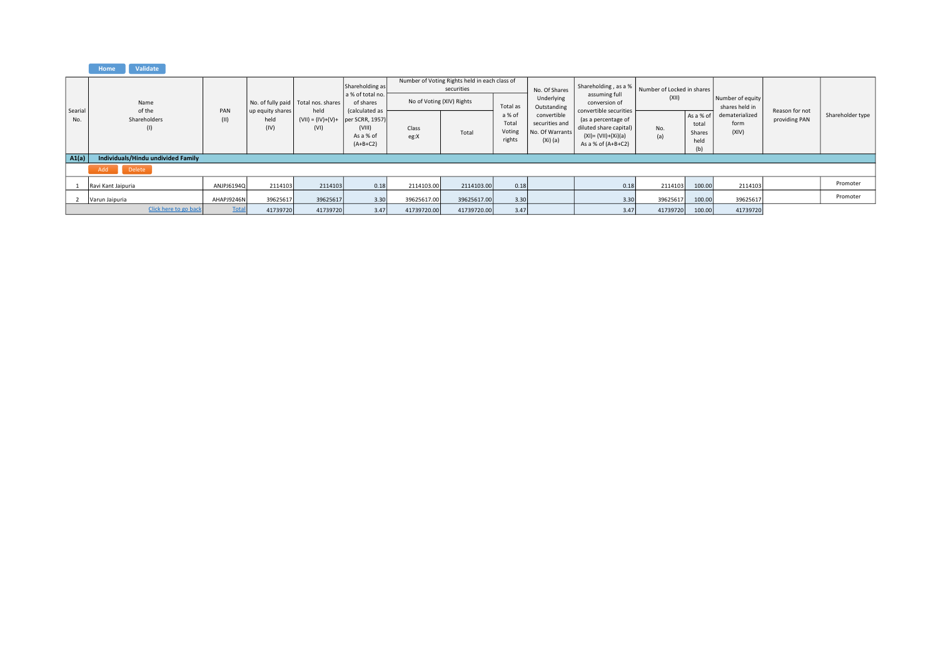## Home Validate

|                | Name                               |              |                                  | No. of fully paid Total nos. shares                 | Shareholding as<br>a % of total no.<br>of shares    |               | Number of Voting Rights held in each class of<br>securities<br>No of Voting (XIV) Rights |                                                 | No. Of Shares<br>Underlying                                                 | Shareholding, as a %<br>assuming full<br>conversion of                                                                 | Number of Locked in shares<br>(XII) |                                             | Number of equity                                  |                                 |                  |
|----------------|------------------------------------|--------------|----------------------------------|-----------------------------------------------------|-----------------------------------------------------|---------------|------------------------------------------------------------------------------------------|-------------------------------------------------|-----------------------------------------------------------------------------|------------------------------------------------------------------------------------------------------------------------|-------------------------------------|---------------------------------------------|---------------------------------------------------|---------------------------------|------------------|
| Searial<br>No. | of the<br>Shareholders<br>(1)      | PAN<br>(11)  | up equity shares<br>held<br>(IV) | held<br>$(VII) = (IV)+(V)+$ per SCRR, 1957)<br>(VI) | (calculated as<br>(VIII)<br>As a % of<br>$(A+B+C2)$ | Class<br>eg:X | Total                                                                                    | Total as<br>a % of<br>Total<br>Voting<br>rights | Outstanding<br>convertible<br>securities and<br>No. Of Warrants<br>(Xi) (a) | convertible securities<br>(as a percentage of<br>diluted share capital)<br>(XI)= (VII)+(Xi)(a)<br>As a % of $(A+B+C2)$ | No.<br>(a)                          | As a % of<br>total<br>Shares<br>held<br>(b) | shares held in<br>dematerialized<br>form<br>(XIV) | Reason for not<br>providing PAN | Shareholder type |
| $ $ A1(a)      | Individuals/Hindu undivided Family |              |                                  |                                                     |                                                     |               |                                                                                          |                                                 |                                                                             |                                                                                                                        |                                     |                                             |                                                   |                                 |                  |
|                | Add<br>Delete                      |              |                                  |                                                     |                                                     |               |                                                                                          |                                                 |                                                                             |                                                                                                                        |                                     |                                             |                                                   |                                 |                  |
|                | Ravi Kant Jaipuria                 | ANJPJ6194Q   | 2114103                          | 2114103                                             | 0.18                                                | 2114103.00    | 2114103.00                                                                               | 0.18                                            |                                                                             | 0.18                                                                                                                   | 2114103                             | 100.00                                      | 2114103                                           |                                 | Promoter         |
|                | Varun Jaipuria                     | AHAPJ9246N   | 39625617                         | 39625617                                            | 3.30                                                | 39625617.00   | 39625617.00                                                                              | 3.30                                            |                                                                             | 3.30                                                                                                                   | 39625617                            | 100.00                                      | 39625617                                          |                                 | Promoter         |
|                | Click here to go back              | <b>Total</b> | 41739720                         | 41739720                                            | 3.47                                                | 41739720.00   | 41739720.00                                                                              | 3.47                                            |                                                                             | 3.47                                                                                                                   | 41739720                            | 100.00                                      | 41739720                                          |                                 |                  |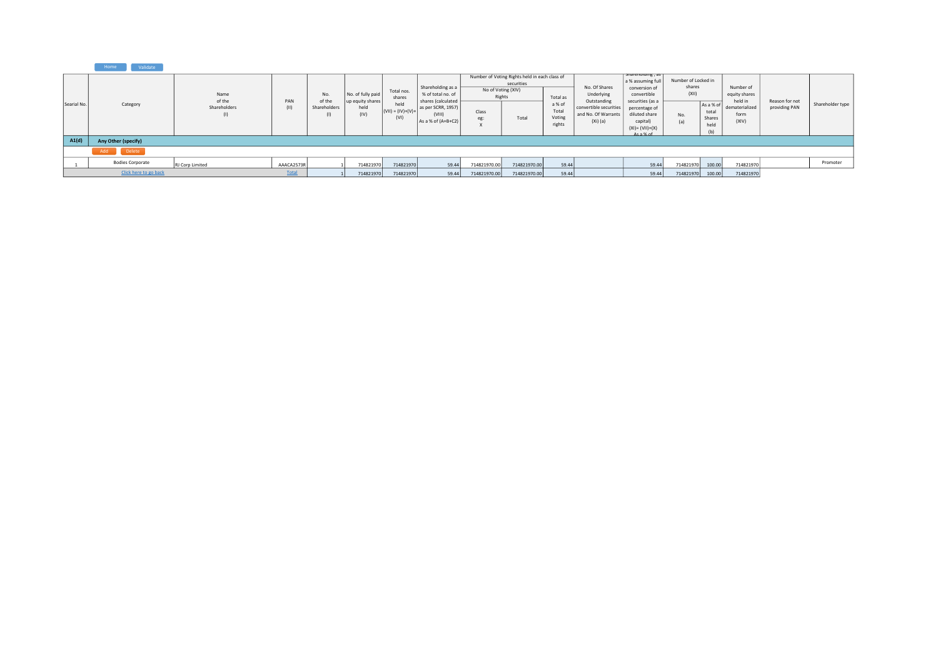|             | Validate<br>Home        |                                       |            |                               |                                               |                              |                                                                                    |                              |                                                             |                           |                                                                      |                                                                                          |                                        |                         |                                                         |                                 |                  |
|-------------|-------------------------|---------------------------------------|------------|-------------------------------|-----------------------------------------------|------------------------------|------------------------------------------------------------------------------------|------------------------------|-------------------------------------------------------------|---------------------------|----------------------------------------------------------------------|------------------------------------------------------------------------------------------|----------------------------------------|-------------------------|---------------------------------------------------------|---------------------------------|------------------|
| Searial No. | Category                | Name<br>of the<br>PAN<br>Shareholders |            | No.<br>of the<br>Shareholders | No. of fully paid<br>up equity shares<br>held | Total nos.<br>shares<br>held | Shareholding as a<br>% of total no. of<br>shares (calculated<br>as per SCRR, 1957) | No of Voting (XIV)<br>Rights | Number of Voting Rights held in each class of<br>securities | Total as<br>a % of        | No. Of Shares<br>Underlying<br>Outstanding<br>convertible securities | snarenoiding, as<br>a % assuming ful<br>conversion of<br>convertible<br>securities (as a | Number of Locked in<br>shares<br>(XII) | As a % of               | Number of<br>equity shares<br>held in<br>dematerialized | Reason for not<br>providing PAN | Shareholder type |
|             |                         | (1)                                   | (11)       | (1)                           | (IV)                                          | $(VII) = (IV)+(V)+$<br>(VI)  | (VIII)<br>As a % of (A+B+C2)                                                       | Class<br>eg:                 | Total                                                       | Total<br>Voting<br>rights | and No. Of Warrants<br>$(Xi)$ (a)                                    | percentage of<br>diluted share<br>capital)<br>$(XI) = (VII)+(X)$<br>$A$ s a % of         | No.<br>(a)<br>(b)                      | total<br>Shares<br>held | form<br>(XIV)                                           |                                 |                  |
| A1(d)       | Any Other (specify)     |                                       |            |                               |                                               |                              |                                                                                    |                              |                                                             |                           |                                                                      |                                                                                          |                                        |                         |                                                         |                                 |                  |
|             | Add Delete              |                                       |            |                               |                                               |                              |                                                                                    |                              |                                                             |                           |                                                                      |                                                                                          |                                        |                         |                                                         |                                 |                  |
|             | <b>Bodies Corporate</b> | RJ Corp Limited                       | AAACA2573R |                               | 71482197                                      | 714821970                    | 59.44                                                                              | 714821970.00                 | 714821970.00                                                | 59.44                     |                                                                      | 59.44                                                                                    | 714821970                              | 100.00                  | 714821970                                               |                                 | Promoter         |
|             | Click here to go back   |                                       | Total      |                               | 714821970                                     | 714821970                    | 59.44                                                                              | 714821970.00                 | 714821970.00                                                | 59.44                     |                                                                      | 59.44                                                                                    | 714821970                              | 100.00                  | 714821970                                               |                                 |                  |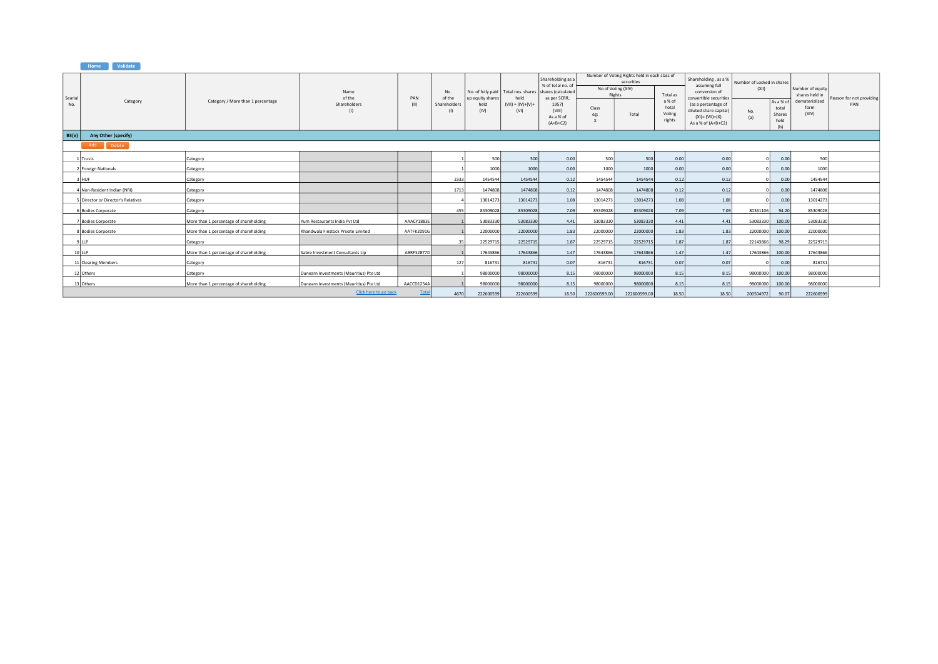|                | Validate<br>Home                   |                                        |                                         |             |                                             |                                  |                                       |                                                            |              |                                                             |                                     |                                                                                                                     |                            |                                            |                                    |                                 |
|----------------|------------------------------------|----------------------------------------|-----------------------------------------|-------------|---------------------------------------------|----------------------------------|---------------------------------------|------------------------------------------------------------|--------------|-------------------------------------------------------------|-------------------------------------|---------------------------------------------------------------------------------------------------------------------|----------------------------|--------------------------------------------|------------------------------------|---------------------------------|
|                |                                    |                                        |                                         |             |                                             |                                  |                                       | Shareholding as a                                          |              | Number of Voting Rights held in each class of<br>securities |                                     | Shareholding, as a %                                                                                                | Number of Locked in shares |                                            |                                    |                                 |
|                |                                    |                                        | Name                                    |             | No.                                         |                                  | No. of fully paid   Total nos. shares | % of total no, of<br>shares (calculated                    |              | No of Voting (XIV)<br>Rights                                | Total as                            | assuming full<br>conversion of                                                                                      | (XII)                      |                                            | Number of equity<br>shares held in |                                 |
| Searial<br>No. | Category                           | Category / More than 1 percentage      | of the<br>Shareholders                  | PAN<br>(11) | of the<br>Shareholder:<br>$\left( 1\right)$ | up equity shares<br>held<br>(IV) | held<br>$(VII) = (IV)+(V)+$<br>(VI)   | as per SCRR,<br>1957)<br>(VIII)<br>As a % of<br>$(A+B+C2)$ | Class<br>eg: | Total                                                       | a % of<br>Total<br>Voting<br>rights | convertible securities<br>(as a percentage of<br>diluted share capital)<br>$(XI) = (VII)+(X)$<br>As a % of (A+B+C2) | No.<br>(a)                 | As a % o<br>total<br>Shares<br>held<br>(h) | dematerialized<br>form<br>(XIV)    | Reason for not providing<br>PAN |
| <b>B3(e)</b>   | Any Other (specify)                |                                        |                                         |             |                                             |                                  |                                       |                                                            |              |                                                             |                                     |                                                                                                                     |                            |                                            |                                    |                                 |
|                | Add<br>Delete                      |                                        |                                         |             |                                             |                                  |                                       |                                                            |              |                                                             |                                     |                                                                                                                     |                            |                                            |                                    |                                 |
|                | 1 Trusts                           | Category                               |                                         |             |                                             | 500                              | 500                                   | 0.00                                                       | 500          | 500                                                         | 0.00                                | 0.00                                                                                                                |                            | 0.00                                       | 500                                |                                 |
|                | 2 Foreign Nationals                | Category                               |                                         |             |                                             | 1000                             | 1000                                  | 0.00                                                       | 1000         | 1000                                                        | 0.00                                | 0.00                                                                                                                |                            | 0.00                                       | 1000                               |                                 |
|                | 3 HUF                              | Category                               |                                         |             | 2333                                        | 1454544                          | 1454544                               | 0.12                                                       | 1454544      | 1454544                                                     | 0.12                                | 0.12                                                                                                                |                            | 0.00                                       | 1454544                            |                                 |
|                | 4 Non-Resident Indian (NRI)        | Category                               |                                         |             | 1713                                        | 1474808                          | 1474808                               | 0.12                                                       | 1474808      | 1474808                                                     | 0.12                                | 0.12                                                                                                                |                            | 0.00                                       | 1474808                            |                                 |
|                | 5 Director or Director's Relatives | Category                               |                                         |             |                                             | 13014273                         | 13014273                              | 1.08                                                       | 13014273     | 13014273                                                    | 1.08                                | 1.08                                                                                                                |                            | 0.00                                       | 13014273                           |                                 |
|                | 6 Bodies Corporate                 | Category                               |                                         |             | 455                                         | 85309028                         | 85309028                              | 7.09                                                       | 85309028     | 85309028                                                    | 7.09                                | 7.09                                                                                                                | 80361106                   | 94.20                                      | 85309028                           |                                 |
|                | 7 Bodies Corporate                 | More than 1 percentage of shareholding | Yum Restaurants India Pvt Ltd           | AAACY1883E  |                                             | 53083330                         | 53083330                              | 4.41                                                       | 53083330     | 53083330                                                    | 4.41                                | 4.41                                                                                                                | 53083330                   | 100.00                                     | 53083330                           |                                 |
|                | 8 Bodies Corporate                 | More than 1 percentage of shareholding | Khandwala Finstock Private Limited      | AATFK2091G  |                                             | 22000000                         | 22000000                              | 1.83                                                       | 22000000     | 22000000                                                    | 1.83                                | 1.83                                                                                                                | 22000000                   | 100.00                                     | 22000000                           |                                 |
|                | 9 LLP                              | Category                               |                                         |             | 35                                          | 22529715                         | 22529715                              | 1.87                                                       | 22529715     | 22529715                                                    | 1.87                                | 1.87                                                                                                                | 22143866                   | 98.29                                      | 22529715                           |                                 |
|                | $10$ LLP                           | More than 1 percentage of shareholding | Sabre Investment Consultants Llp        | ABRFS2877D  |                                             | 17643866                         | 17643866                              | 1.47                                                       | 17643866     | 17643866                                                    | 1.47                                | 1.47                                                                                                                | 17643866                   | 100.00                                     | 17643866                           |                                 |
|                | 11 Clearing Members                | Category                               |                                         |             | 127                                         | 816731                           | 816731                                | 0.07                                                       | 816731       | 816731                                                      | 0.07                                | 0.07                                                                                                                |                            | 0.00                                       | 816731                             |                                 |
|                | 12 Others                          | Category                               | Dunearn Investments (Mauritius) Pte Ltd |             |                                             | 98000000                         | 98000000                              | 8.15                                                       | 98000000     | 98000000                                                    | 8.15                                | 8.15                                                                                                                | 98000000                   | 100.00                                     | 98000000                           |                                 |
|                | 13 Others                          | More than 1 percentage of shareholding | Dunearn Investments (Mauritius) Pte Ltd | AACCD1254A  |                                             | 98000000                         | 98000000                              | 8.15                                                       | 98000000     | 98000000                                                    | 8.15                                | 8.15                                                                                                                | 98000000                   | 100.00                                     | 98000000                           |                                 |
|                |                                    |                                        | Click here to go back                   | Tota        | 4670                                        | 222600599                        | 222600599                             | 18.50                                                      | 222600599.00 | 222600599.00                                                | 18.50                               | 18.50                                                                                                               | 200504972                  | 90.07                                      | 222600599                          |                                 |